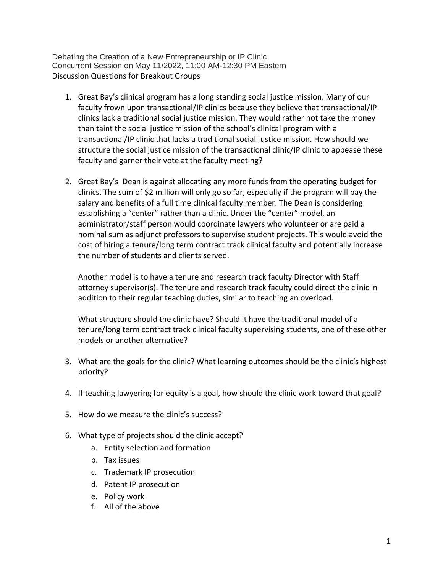Debating the Creation of a New Entrepreneurship or IP Clinic Concurrent Session on May 11/2022, 11:00 AM-12:30 PM Eastern Discussion Questions for Breakout Groups

- 1. Great Bay's clinical program has a long standing social justice mission. Many of our faculty frown upon transactional/IP clinics because they believe that transactional/IP clinics lack a traditional social justice mission. They would rather not take the money than taint the social justice mission of the school's clinical program with a transactional/IP clinic that lacks a traditional social justice mission. How should we structure the social justice mission of the transactional clinic/IP clinic to appease these faculty and garner their vote at the faculty meeting?
- 2. Great Bay's Dean is against allocating any more funds from the operating budget for clinics. The sum of \$2 million will only go so far, especially if the program will pay the salary and benefits of a full time clinical faculty member. The Dean is considering establishing a "center" rather than a clinic. Under the "center" model, an administrator/staff person would coordinate lawyers who volunteer or are paid a nominal sum as adjunct professors to supervise student projects. This would avoid the cost of hiring a tenure/long term contract track clinical faculty and potentially increase the number of students and clients served.

Another model is to have a tenure and research track faculty Director with Staff attorney supervisor(s). The tenure and research track faculty could direct the clinic in addition to their regular teaching duties, similar to teaching an overload.

What structure should the clinic have? Should it have the traditional model of a tenure/long term contract track clinical faculty supervising students, one of these other models or another alternative?

- 3. What are the goals for the clinic? What learning outcomes should be the clinic's highest priority?
- 4. If teaching lawyering for equity is a goal, how should the clinic work toward that goal?
- 5. How do we measure the clinic's success?
- 6. What type of projects should the clinic accept?
	- a. Entity selection and formation
	- b. Tax issues
	- c. Trademark IP prosecution
	- d. Patent IP prosecution
	- e. Policy work
	- f. All of the above